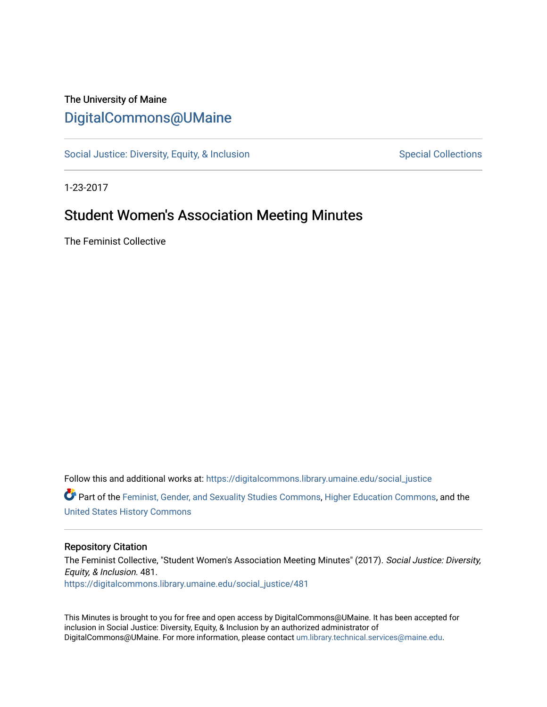# The University of Maine [DigitalCommons@UMaine](https://digitalcommons.library.umaine.edu/)

[Social Justice: Diversity, Equity, & Inclusion](https://digitalcommons.library.umaine.edu/social_justice) [Special Collections](https://digitalcommons.library.umaine.edu/specialcollections) Special Collections

1-23-2017

# Student Women's Association Meeting Minutes

The Feminist Collective

Follow this and additional works at: [https://digitalcommons.library.umaine.edu/social\\_justice](https://digitalcommons.library.umaine.edu/social_justice?utm_source=digitalcommons.library.umaine.edu%2Fsocial_justice%2F481&utm_medium=PDF&utm_campaign=PDFCoverPages)  Part of the [Feminist, Gender, and Sexuality Studies Commons](http://network.bepress.com/hgg/discipline/559?utm_source=digitalcommons.library.umaine.edu%2Fsocial_justice%2F481&utm_medium=PDF&utm_campaign=PDFCoverPages), [Higher Education Commons](http://network.bepress.com/hgg/discipline/1245?utm_source=digitalcommons.library.umaine.edu%2Fsocial_justice%2F481&utm_medium=PDF&utm_campaign=PDFCoverPages), and the [United States History Commons](http://network.bepress.com/hgg/discipline/495?utm_source=digitalcommons.library.umaine.edu%2Fsocial_justice%2F481&utm_medium=PDF&utm_campaign=PDFCoverPages)

#### Repository Citation

The Feminist Collective, "Student Women's Association Meeting Minutes" (2017). Social Justice: Diversity, Equity, & Inclusion. 481. [https://digitalcommons.library.umaine.edu/social\\_justice/481](https://digitalcommons.library.umaine.edu/social_justice/481?utm_source=digitalcommons.library.umaine.edu%2Fsocial_justice%2F481&utm_medium=PDF&utm_campaign=PDFCoverPages) 

This Minutes is brought to you for free and open access by DigitalCommons@UMaine. It has been accepted for inclusion in Social Justice: Diversity, Equity, & Inclusion by an authorized administrator of DigitalCommons@UMaine. For more information, please contact [um.library.technical.services@maine.edu](mailto:um.library.technical.services@maine.edu).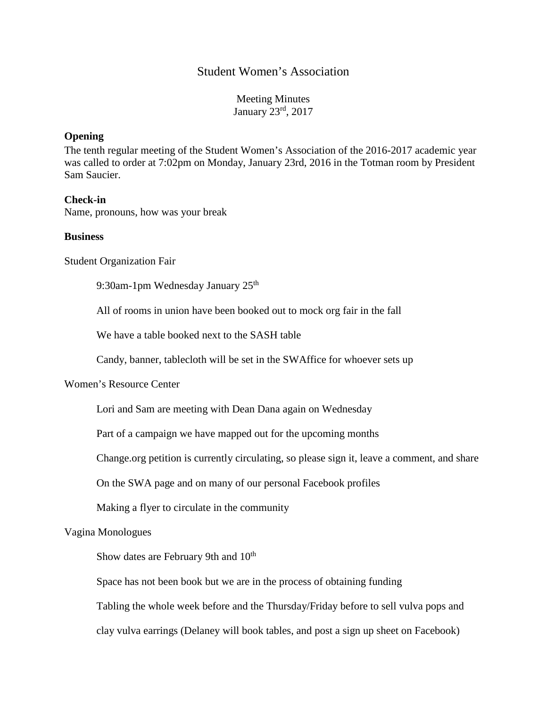## Student Women's Association

Meeting Minutes January 23rd, 2017

#### **Opening**

The tenth regular meeting of the Student Women's Association of the 2016-2017 academic year was called to order at 7:02pm on Monday, January 23rd, 2016 in the Totman room by President Sam Saucier.

#### **Check-in**

Name, pronouns, how was your break

#### **Business**

Student Organization Fair

9:30am-1pm Wednesday January 25<sup>th</sup>

All of rooms in union have been booked out to mock org fair in the fall

We have a table booked next to the SASH table

Candy, banner, tablecloth will be set in the SWAffice for whoever sets up

## Women's Resource Center

Lori and Sam are meeting with Dean Dana again on Wednesday

Part of a campaign we have mapped out for the upcoming months

Change.org petition is currently circulating, so please sign it, leave a comment, and share

On the SWA page and on many of our personal Facebook profiles

Making a flyer to circulate in the community

Vagina Monologues

Show dates are February 9th and 10<sup>th</sup>

Space has not been book but we are in the process of obtaining funding

Tabling the whole week before and the Thursday/Friday before to sell vulva pops and

clay vulva earrings (Delaney will book tables, and post a sign up sheet on Facebook)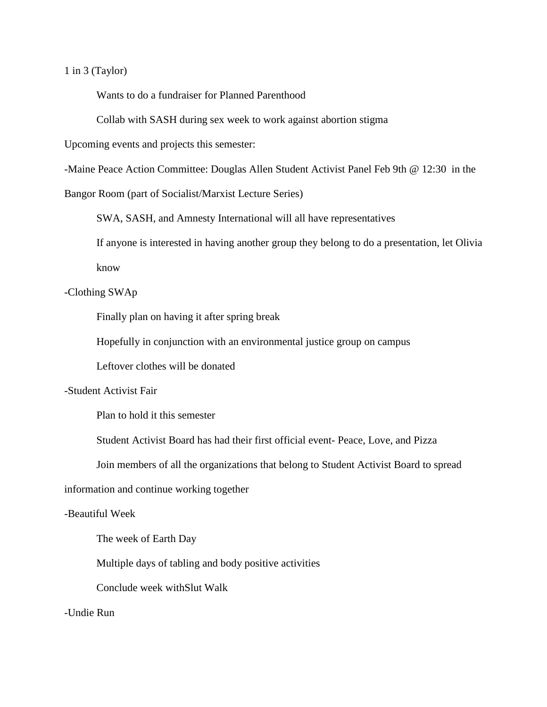1 in 3 (Taylor)

Wants to do a fundraiser for Planned Parenthood

Collab with SASH during sex week to work against abortion stigma

Upcoming events and projects this semester:

-Maine Peace Action Committee: Douglas Allen Student Activist Panel Feb 9th @ 12:30 in the

Bangor Room (part of Socialist/Marxist Lecture Series)

SWA, SASH, and Amnesty International will all have representatives

If anyone is interested in having another group they belong to do a presentation, let Olivia

know

#### -Clothing SWAp

Finally plan on having it after spring break

Hopefully in conjunction with an environmental justice group on campus

Leftover clothes will be donated

#### -Student Activist Fair

Plan to hold it this semester

Student Activist Board has had their first official event- Peace, Love, and Pizza

Join members of all the organizations that belong to Student Activist Board to spread

information and continue working together

#### -Beautiful Week

The week of Earth Day

Multiple days of tabling and body positive activities

Conclude week withSlut Walk

-Undie Run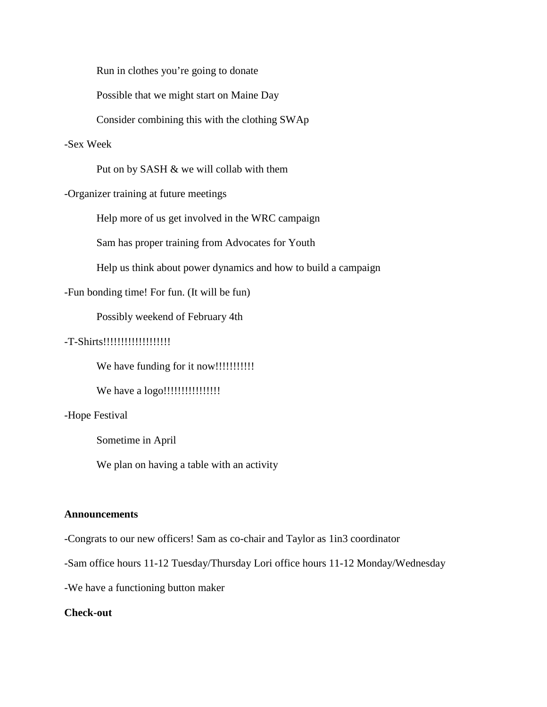Run in clothes you're going to donate

Possible that we might start on Maine Day

Consider combining this with the clothing SWAp

## -Sex Week

Put on by SASH & we will collab with them

#### -Organizer training at future meetings

Help more of us get involved in the WRC campaign

Sam has proper training from Advocates for Youth

Help us think about power dynamics and how to build a campaign

#### -Fun bonding time! For fun. (It will be fun)

Possibly weekend of February 4th

#### -T-Shirts!!!!!!!!!!!!!!!!!!!

We have funding for it now!!!!!!!!!!!

We have a logo!!!!!!!!!!!!!!!!

#### -Hope Festival

Sometime in April

We plan on having a table with an activity

#### **Announcements**

-Congrats to our new officers! Sam as co-chair and Taylor as 1in3 coordinator

-Sam office hours 11-12 Tuesday/Thursday Lori office hours 11-12 Monday/Wednesday

-We have a functioning button maker

#### **Check-out**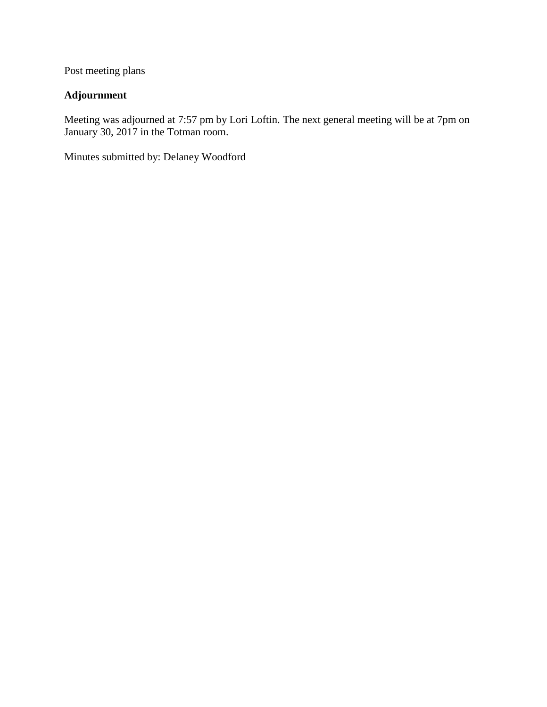Post meeting plans

# **Adjournment**

Meeting was adjourned at 7:57 pm by Lori Loftin. The next general meeting will be at 7pm on January 30, 2017 in the Totman room.

Minutes submitted by: Delaney Woodford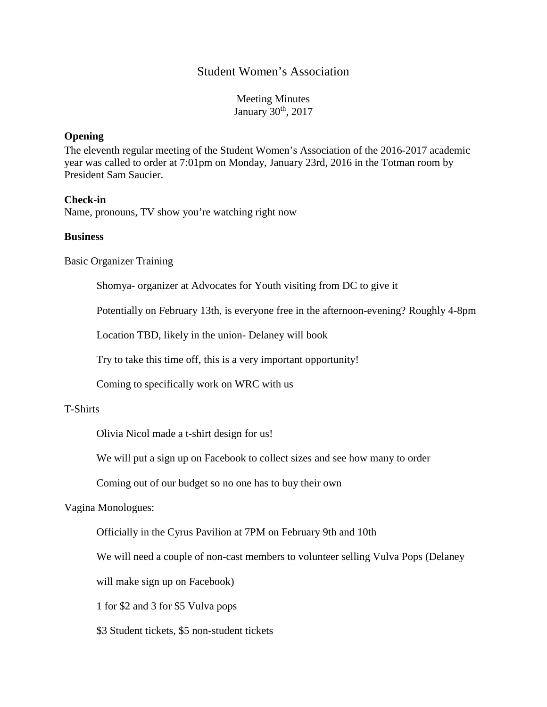## Student Women's Association

Meeting Minutes January 30<sup>th</sup>, 2017

#### **Opening**

The eleventh regular meeting of the Student Women's Association of the 2016-2017 academic year was called to order at 7:01pm on Monday, January 23rd, 2016 in the Totman room by President Sam Saucier.

## **Check-in**

Name, pronouns, TV show you're watching right now

#### **Business**

Basic Organizer Training

Shomya- organizer at Advocates for Youth visiting from DC to give it

Potentially on February 13th, is everyone free in the afternoon-evening? Roughly 4-8pm

Location TBD, likely in the union- Delaney will book

Try to take this time off, this is a very important opportunity!

Coming to specifically work on WRC with us

## T-Shirts

Olivia Nicol made a t-shirt design for us!

We will put a sign up on Facebook to collect sizes and see how many to order

Coming out of our budget so no one has to buy their own

## Vagina Monologues:

Officially in the Cyrus Pavilion at 7PM on February 9th and 10th

We will need a couple of non-cast members to volunteer selling Vulva Pops (Delaney

will make sign up on Facebook)

1 for \$2 and 3 for \$5 Vulva pops

\$3 Student tickets, \$5 non-student tickets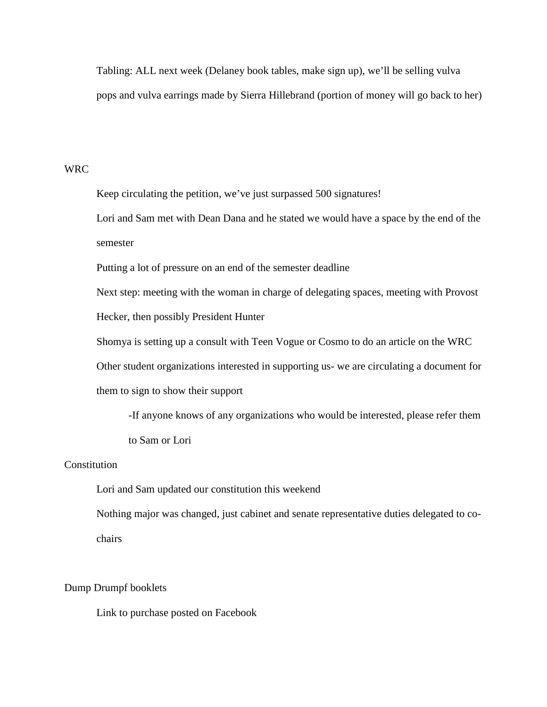Tabling: ALL next week (Delaney book tables, make sign up), we'll be selling vulva pops and vulva earrings made by Sierra Hillebrand (portion of money will go back to her)

#### WRC

Keep circulating the petition, we've just surpassed 500 signatures!

Lori and Sam met with Dean Dana and he stated we would have a space by the end of the semester

Putting a lot of pressure on an end of the semester deadline

Next step: meeting with the woman in charge of delegating spaces, meeting with Provost

Hecker, then possibly President Hunter

Shomya is setting up a consult with Teen Vogue or Cosmo to do an article on the WRC

Other student organizations interested in supporting us- we are circulating a document for

them to sign to show their support

-If anyone knows of any organizations who would be interested, please refer them to Sam or Lori

#### **Constitution**

Lori and Sam updated our constitution this weekend

Nothing major was changed, just cabinet and senate representative duties delegated to cochairs

#### Dump Drumpf booklets

Link to purchase posted on Facebook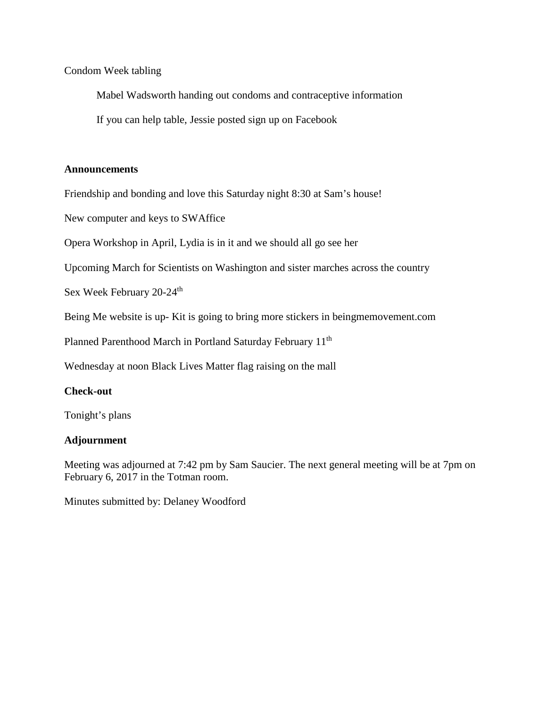## Condom Week tabling

Mabel Wadsworth handing out condoms and contraceptive information

If you can help table, Jessie posted sign up on Facebook

## **Announcements**

Friendship and bonding and love this Saturday night 8:30 at Sam's house!

New computer and keys to SWAffice

Opera Workshop in April, Lydia is in it and we should all go see her

Upcoming March for Scientists on Washington and sister marches across the country

Sex Week February 20-24<sup>th</sup>

Being Me website is up- Kit is going to bring more stickers in beingmemovement.com

Planned Parenthood March in Portland Saturday February 11<sup>th</sup>

Wednesday at noon Black Lives Matter flag raising on the mall

## **Check-out**

Tonight's plans

## **Adjournment**

Meeting was adjourned at 7:42 pm by Sam Saucier. The next general meeting will be at 7pm on February 6, 2017 in the Totman room.

Minutes submitted by: Delaney Woodford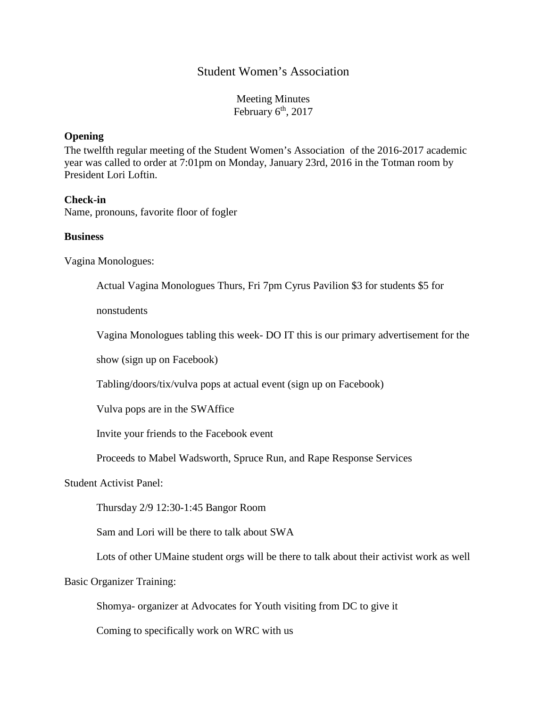## Student Women's Association

Meeting Minutes February  $6<sup>th</sup>$ , 2017

#### **Opening**

The twelfth regular meeting of the Student Women's Association of the 2016-2017 academic year was called to order at 7:01pm on Monday, January 23rd, 2016 in the Totman room by President Lori Loftin.

#### **Check-in**

Name, pronouns, favorite floor of fogler

#### **Business**

Vagina Monologues:

Actual Vagina Monologues Thurs, Fri 7pm Cyrus Pavilion \$3 for students \$5 for

nonstudents

Vagina Monologues tabling this week- DO IT this is our primary advertisement for the

show (sign up on Facebook)

Tabling/doors/tix/vulva pops at actual event (sign up on Facebook)

Vulva pops are in the SWAffice

Invite your friends to the Facebook event

Proceeds to Mabel Wadsworth, Spruce Run, and Rape Response Services

Student Activist Panel:

Thursday 2/9 12:30-1:45 Bangor Room

Sam and Lori will be there to talk about SWA

Lots of other UMaine student orgs will be there to talk about their activist work as well

Basic Organizer Training:

Shomya- organizer at Advocates for Youth visiting from DC to give it

Coming to specifically work on WRC with us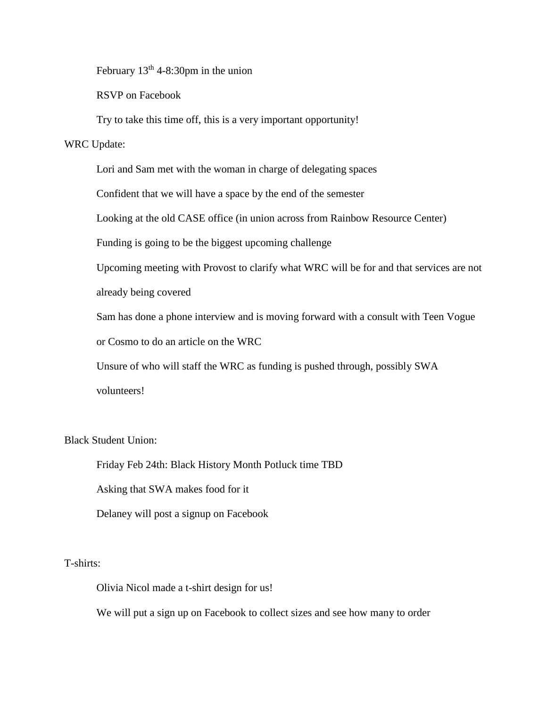February 13<sup>th</sup> 4-8:30pm in the union

RSVP on Facebook

Try to take this time off, this is a very important opportunity!

#### WRC Update:

Lori and Sam met with the woman in charge of delegating spaces

Confident that we will have a space by the end of the semester

Looking at the old CASE office (in union across from Rainbow Resource Center)

Funding is going to be the biggest upcoming challenge

Upcoming meeting with Provost to clarify what WRC will be for and that services are not

already being covered

Sam has done a phone interview and is moving forward with a consult with Teen Vogue

or Cosmo to do an article on the WRC

Unsure of who will staff the WRC as funding is pushed through, possibly SWA volunteers!

## Black Student Union:

Friday Feb 24th: Black History Month Potluck time TBD

Asking that SWA makes food for it

Delaney will post a signup on Facebook

T-shirts:

Olivia Nicol made a t-shirt design for us!

We will put a sign up on Facebook to collect sizes and see how many to order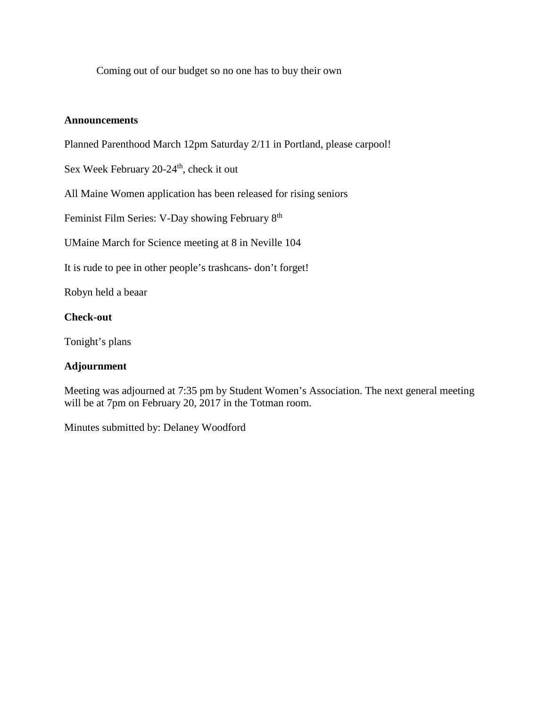Coming out of our budget so no one has to buy their own

## **Announcements**

Planned Parenthood March 12pm Saturday 2/11 in Portland, please carpool!

Sex Week February  $20-24^{\text{th}}$ , check it out

All Maine Women application has been released for rising seniors

Feminist Film Series: V-Day showing February 8<sup>th</sup>

UMaine March for Science meeting at 8 in Neville 104

It is rude to pee in other people's trashcans- don't forget!

Robyn held a beaar

## **Check-out**

Tonight's plans

## **Adjournment**

Meeting was adjourned at 7:35 pm by Student Women's Association. The next general meeting will be at 7pm on February 20, 2017 in the Totman room.

Minutes submitted by: Delaney Woodford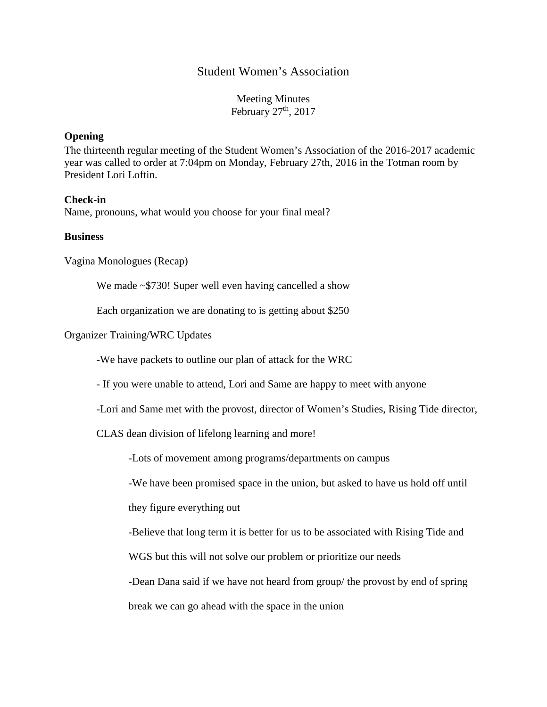## Student Women's Association

Meeting Minutes February  $27<sup>th</sup>$ , 2017

#### **Opening**

The thirteenth regular meeting of the Student Women's Association of the 2016-2017 academic year was called to order at 7:04pm on Monday, February 27th, 2016 in the Totman room by President Lori Loftin.

#### **Check-in**

Name, pronouns, what would you choose for your final meal?

#### **Business**

Vagina Monologues (Recap)

We made ~\$730! Super well even having cancelled a show

Each organization we are donating to is getting about \$250

Organizer Training/WRC Updates

-We have packets to outline our plan of attack for the WRC

- If you were unable to attend, Lori and Same are happy to meet with anyone

-Lori and Same met with the provost, director of Women's Studies, Rising Tide director,

CLAS dean division of lifelong learning and more!

-Lots of movement among programs/departments on campus

-We have been promised space in the union, but asked to have us hold off until

they figure everything out

-Believe that long term it is better for us to be associated with Rising Tide and

WGS but this will not solve our problem or prioritize our needs

-Dean Dana said if we have not heard from group/ the provost by end of spring

break we can go ahead with the space in the union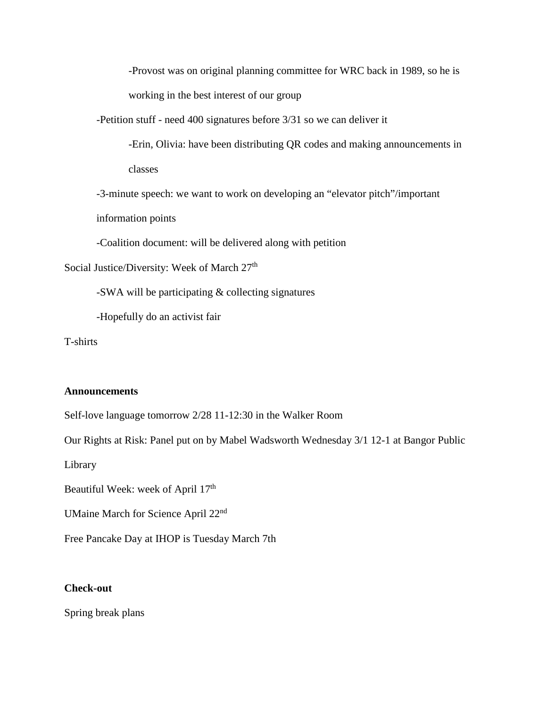-Provost was on original planning committee for WRC back in 1989, so he is working in the best interest of our group

-Petition stuff - need 400 signatures before 3/31 so we can deliver it

-Erin, Olivia: have been distributing QR codes and making announcements in classes

-3-minute speech: we want to work on developing an "elevator pitch"/important

information points

-Coalition document: will be delivered along with petition

Social Justice/Diversity: Week of March 27<sup>th</sup>

-SWA will be participating & collecting signatures

-Hopefully do an activist fair

T-shirts

#### **Announcements**

Self-love language tomorrow 2/28 11-12:30 in the Walker Room

Our Rights at Risk: Panel put on by Mabel Wadsworth Wednesday 3/1 12-1 at Bangor Public

Library

Beautiful Week: week of April 17<sup>th</sup>

UMaine March for Science April 22nd

Free Pancake Day at IHOP is Tuesday March 7th

#### **Check-out**

Spring break plans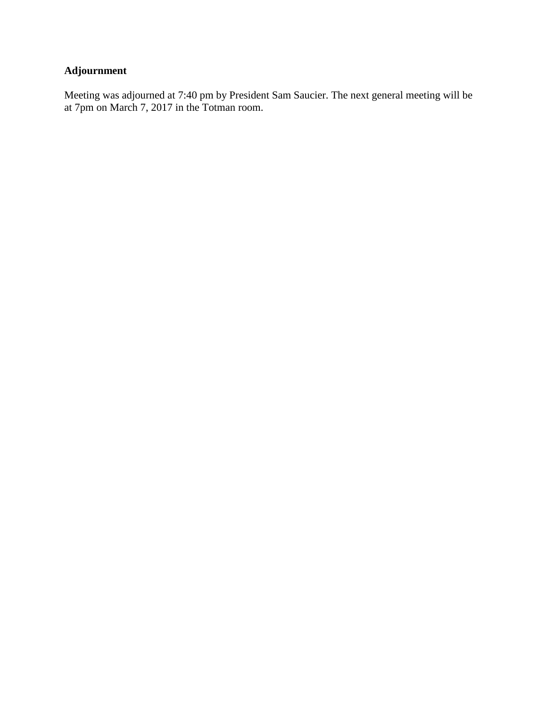# **Adjournment**

Meeting was adjourned at 7:40 pm by President Sam Saucier. The next general meeting will be at 7pm on March 7, 2017 in the Totman room.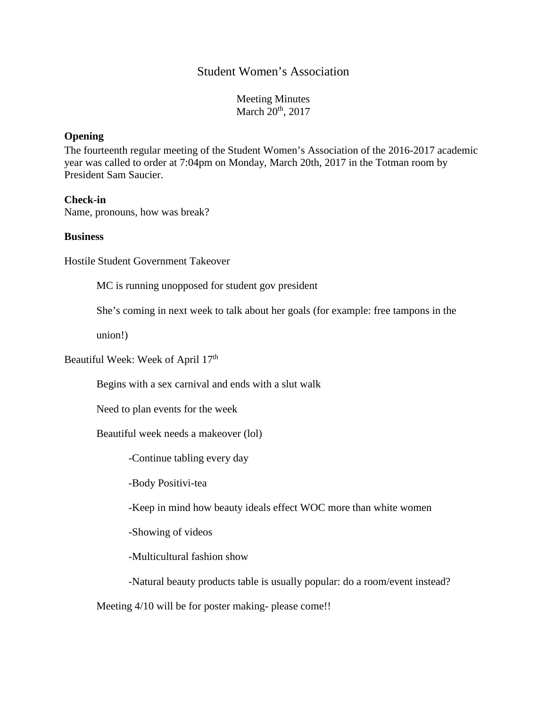## Student Women's Association

Meeting Minutes March 20<sup>th</sup>, 2017

#### **Opening**

The fourteenth regular meeting of the Student Women's Association of the 2016-2017 academic year was called to order at 7:04pm on Monday, March 20th, 2017 in the Totman room by President Sam Saucier.

#### **Check-in**

Name, pronouns, how was break?

#### **Business**

Hostile Student Government Takeover

MC is running unopposed for student gov president

She's coming in next week to talk about her goals (for example: free tampons in the

union!)

Beautiful Week: Week of April 17<sup>th</sup>

Begins with a sex carnival and ends with a slut walk

Need to plan events for the week

Beautiful week needs a makeover (lol)

-Continue tabling every day

-Body Positivi-tea

-Keep in mind how beauty ideals effect WOC more than white women

-Showing of videos

-Multicultural fashion show

-Natural beauty products table is usually popular: do a room/event instead?

Meeting  $4/10$  will be for poster making-please come!!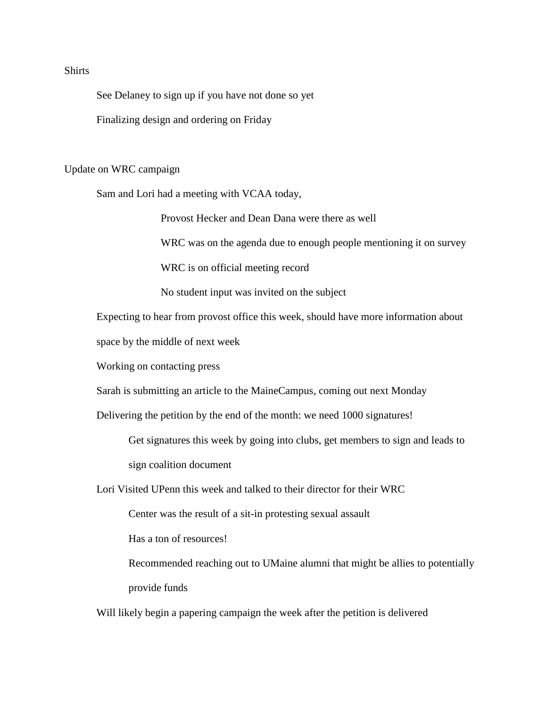## **Shirts**

See Delaney to sign up if you have not done so yet

Finalizing design and ordering on Friday

Update on WRC campaign

Sam and Lori had a meeting with VCAA today,

Provost Hecker and Dean Dana were there as well

WRC was on the agenda due to enough people mentioning it on survey

WRC is on official meeting record

No student input was invited on the subject

Expecting to hear from provost office this week, should have more information about

space by the middle of next week

Working on contacting press

Sarah is submitting an article to the MaineCampus, coming out next Monday

Delivering the petition by the end of the month: we need 1000 signatures!

Get signatures this week by going into clubs, get members to sign and leads to sign coalition document

Lori Visited UPenn this week and talked to their director for their WRC

Center was the result of a sit-in protesting sexual assault

Has a ton of resources!

Recommended reaching out to UMaine alumni that might be allies to potentially provide funds

Will likely begin a papering campaign the week after the petition is delivered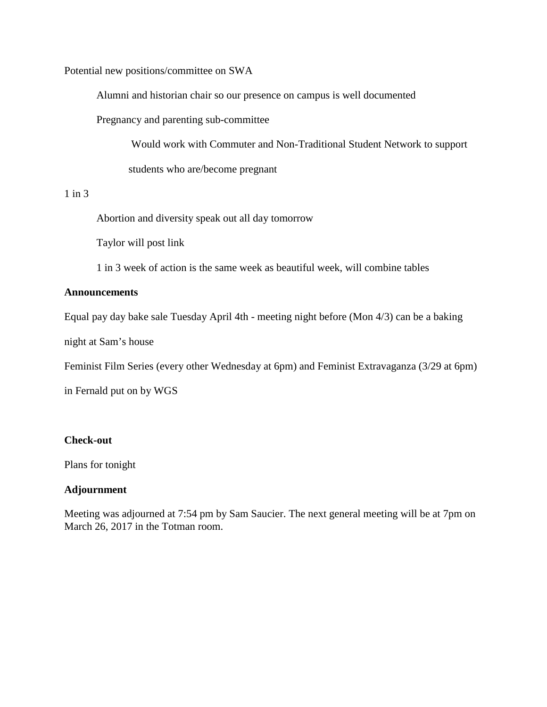Potential new positions/committee on SWA

Alumni and historian chair so our presence on campus is well documented

Pregnancy and parenting sub-committee

Would work with Commuter and Non-Traditional Student Network to support students who are/become pregnant

#### 1 in 3

Abortion and diversity speak out all day tomorrow

Taylor will post link

1 in 3 week of action is the same week as beautiful week, will combine tables

#### **Announcements**

Equal pay day bake sale Tuesday April 4th - meeting night before (Mon 4/3) can be a baking

night at Sam's house

Feminist Film Series (every other Wednesday at 6pm) and Feminist Extravaganza (3/29 at 6pm)

in Fernald put on by WGS

#### **Check-out**

Plans for tonight

## **Adjournment**

Meeting was adjourned at 7:54 pm by Sam Saucier. The next general meeting will be at 7pm on March 26, 2017 in the Totman room.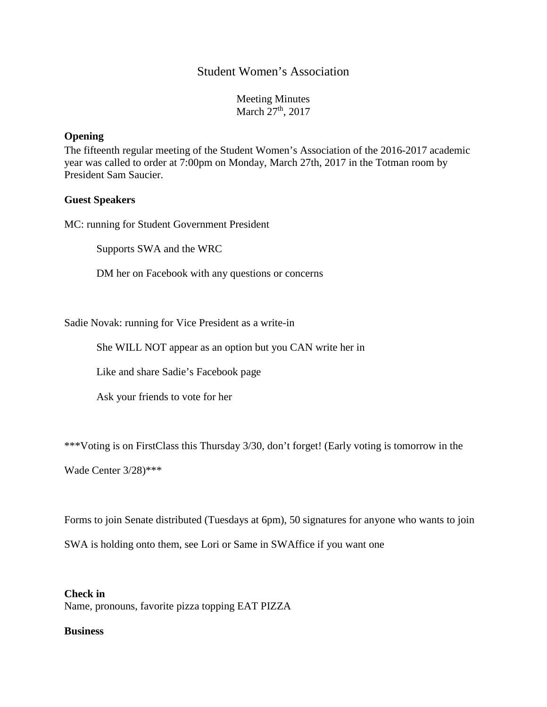## Student Women's Association

Meeting Minutes March 27<sup>th</sup>, 2017

#### **Opening**

The fifteenth regular meeting of the Student Women's Association of the 2016-2017 academic year was called to order at 7:00pm on Monday, March 27th, 2017 in the Totman room by President Sam Saucier.

#### **Guest Speakers**

MC: running for Student Government President

Supports SWA and the WRC

DM her on Facebook with any questions or concerns

Sadie Novak: running for Vice President as a write-in

She WILL NOT appear as an option but you CAN write her in

Like and share Sadie's Facebook page

Ask your friends to vote for her

\*\*\*Voting is on FirstClass this Thursday 3/30, don't forget! (Early voting is tomorrow in the

Wade Center 3/28)\*\*\*

Forms to join Senate distributed (Tuesdays at 6pm), 50 signatures for anyone who wants to join

SWA is holding onto them, see Lori or Same in SWAffice if you want one

#### **Check in**

Name, pronouns, favorite pizza topping EAT PIZZA

#### **Business**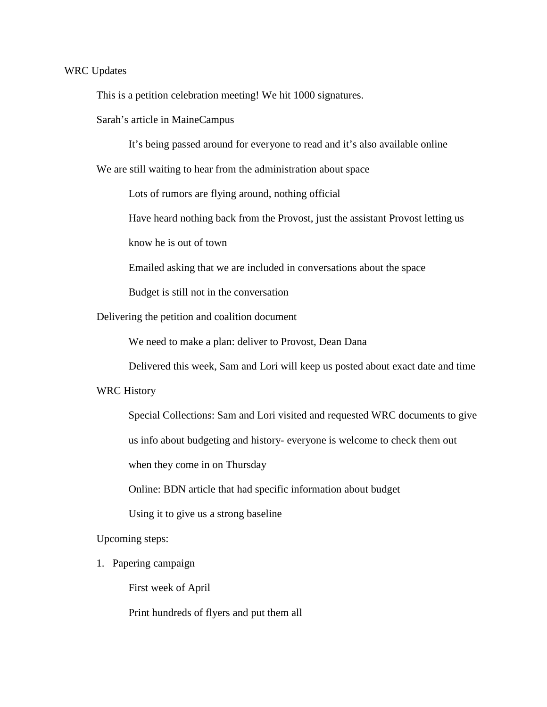#### WRC Updates

This is a petition celebration meeting! We hit 1000 signatures.

Sarah's article in MaineCampus

It's being passed around for everyone to read and it's also available online

We are still waiting to hear from the administration about space

Lots of rumors are flying around, nothing official

Have heard nothing back from the Provost, just the assistant Provost letting us

know he is out of town

Emailed asking that we are included in conversations about the space

Budget is still not in the conversation

Delivering the petition and coalition document

We need to make a plan: deliver to Provost, Dean Dana

Delivered this week, Sam and Lori will keep us posted about exact date and time

#### WRC History

Special Collections: Sam and Lori visited and requested WRC documents to give

us info about budgeting and history- everyone is welcome to check them out

when they come in on Thursday

Online: BDN article that had specific information about budget

Using it to give us a strong baseline

Upcoming steps:

1. Papering campaign

First week of April

Print hundreds of flyers and put them all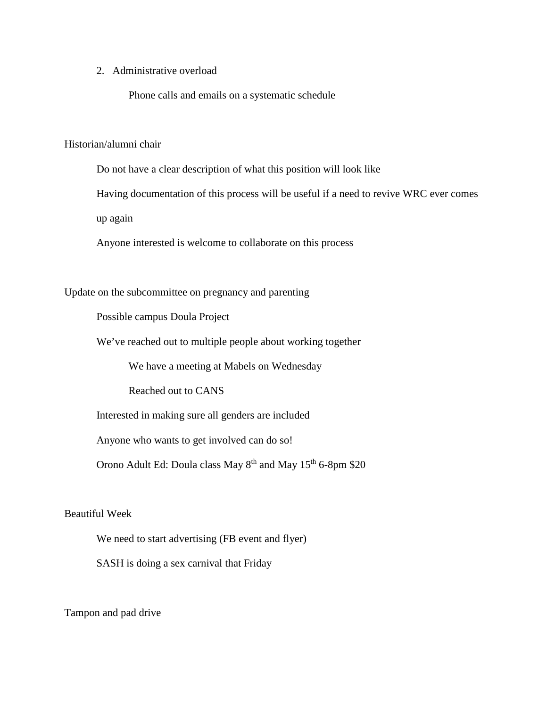2. Administrative overload

Phone calls and emails on a systematic schedule

Historian/alumni chair

Do not have a clear description of what this position will look like

Having documentation of this process will be useful if a need to revive WRC ever comes

up again

Anyone interested is welcome to collaborate on this process

Update on the subcommittee on pregnancy and parenting

Possible campus Doula Project

We've reached out to multiple people about working together

We have a meeting at Mabels on Wednesday

Reached out to CANS

Interested in making sure all genders are included

Anyone who wants to get involved can do so!

Orono Adult Ed: Doula class May 8<sup>th</sup> and May 15<sup>th</sup> 6-8pm \$20

#### Beautiful Week

We need to start advertising (FB event and flyer)

SASH is doing a sex carnival that Friday

Tampon and pad drive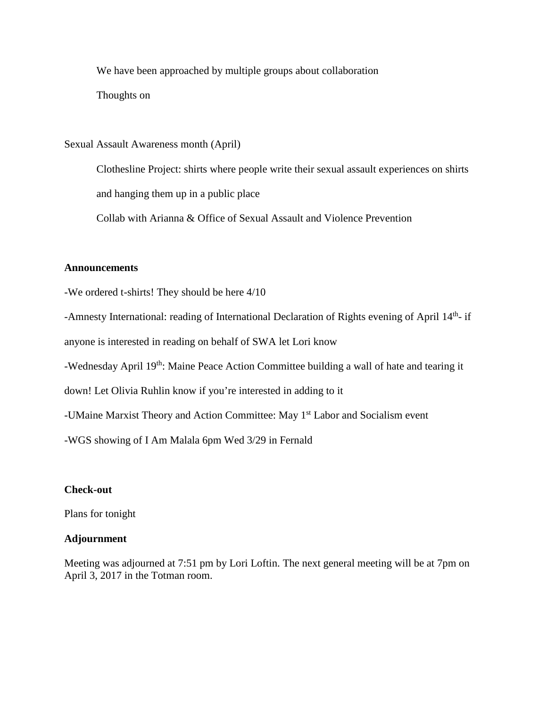We have been approached by multiple groups about collaboration

Thoughts on

Sexual Assault Awareness month (April)

Clothesline Project: shirts where people write their sexual assault experiences on shirts and hanging them up in a public place

Collab with Arianna & Office of Sexual Assault and Violence Prevention

## **Announcements**

-We ordered t-shirts! They should be here 4/10

-Amnesty International: reading of International Declaration of Rights evening of April 14<sup>th</sup>- if

anyone is interested in reading on behalf of SWA let Lori know

-Wednesday April 19<sup>th</sup>: Maine Peace Action Committee building a wall of hate and tearing it

down! Let Olivia Ruhlin know if you're interested in adding to it

-UMaine Marxist Theory and Action Committee: May 1<sup>st</sup> Labor and Socialism event

-WGS showing of I Am Malala 6pm Wed 3/29 in Fernald

## **Check-out**

Plans for tonight

## **Adjournment**

Meeting was adjourned at 7:51 pm by Lori Loftin. The next general meeting will be at 7pm on April 3, 2017 in the Totman room.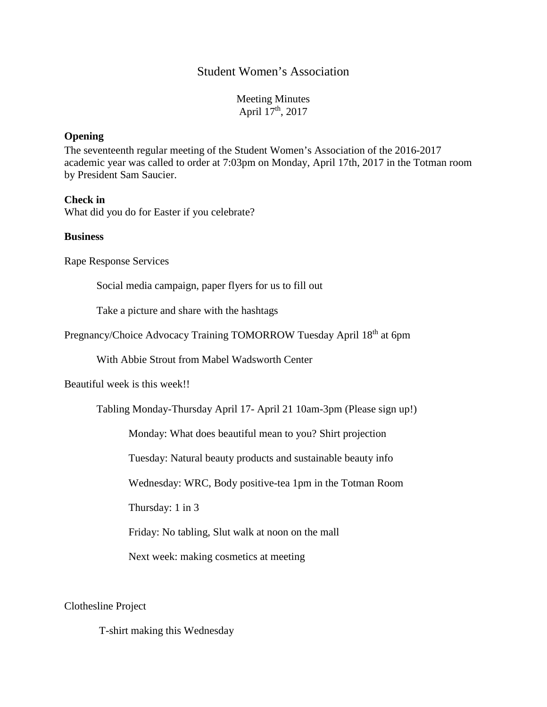## Student Women's Association

Meeting Minutes April 17<sup>th</sup>, 2017

#### **Opening**

The seventeenth regular meeting of the Student Women's Association of the 2016-2017 academic year was called to order at 7:03pm on Monday, April 17th, 2017 in the Totman room by President Sam Saucier.

#### **Check in**

What did you do for Easter if you celebrate?

#### **Business**

Rape Response Services

Social media campaign, paper flyers for us to fill out

Take a picture and share with the hashtags

Pregnancy/Choice Advocacy Training TOMORROW Tuesday April 18<sup>th</sup> at 6pm

With Abbie Strout from Mabel Wadsworth Center

Beautiful week is this week!!

Tabling Monday-Thursday April 17- April 21 10am-3pm (Please sign up!)

Monday: What does beautiful mean to you? Shirt projection

Tuesday: Natural beauty products and sustainable beauty info

Wednesday: WRC, Body positive-tea 1pm in the Totman Room

Thursday: 1 in 3

Friday: No tabling, Slut walk at noon on the mall

Next week: making cosmetics at meeting

Clothesline Project

T-shirt making this Wednesday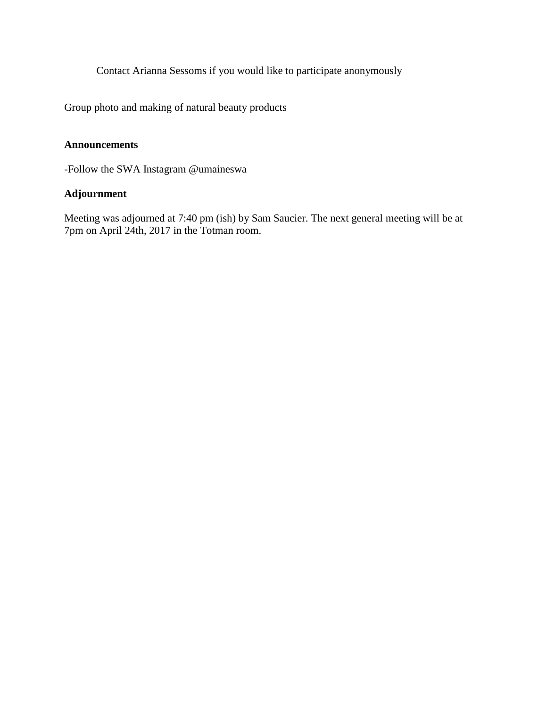Contact Arianna Sessoms if you would like to participate anonymously

Group photo and making of natural beauty products

## **Announcements**

-Follow the SWA Instagram @umaineswa

## **Adjournment**

Meeting was adjourned at 7:40 pm (ish) by Sam Saucier. The next general meeting will be at 7pm on April 24th, 2017 in the Totman room.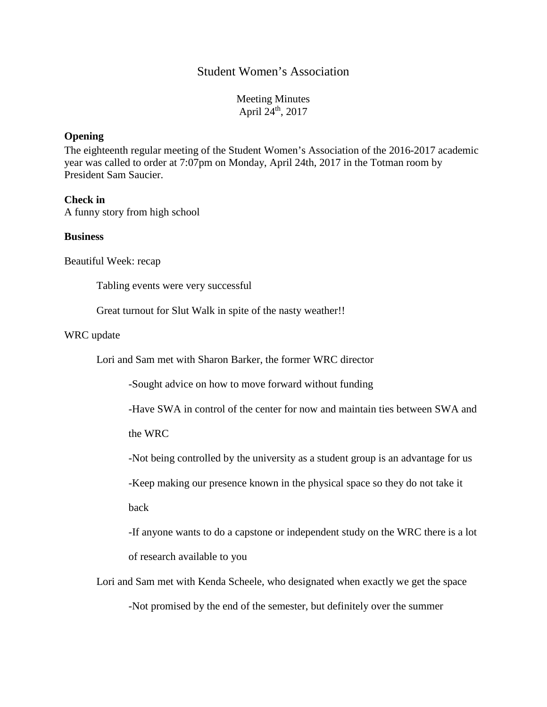## Student Women's Association

Meeting Minutes April  $24^{\text{th}}$ , 2017

#### **Opening**

The eighteenth regular meeting of the Student Women's Association of the 2016-2017 academic year was called to order at 7:07pm on Monday, April 24th, 2017 in the Totman room by President Sam Saucier.

#### **Check in**

A funny story from high school

#### **Business**

Beautiful Week: recap

Tabling events were very successful

Great turnout for Slut Walk in spite of the nasty weather!!

#### WRC update

Lori and Sam met with Sharon Barker, the former WRC director

-Sought advice on how to move forward without funding

-Have SWA in control of the center for now and maintain ties between SWA and

the WRC

-Not being controlled by the university as a student group is an advantage for us

-Keep making our presence known in the physical space so they do not take it

back

-If anyone wants to do a capstone or independent study on the WRC there is a lot of research available to you

Lori and Sam met with Kenda Scheele, who designated when exactly we get the space

-Not promised by the end of the semester, but definitely over the summer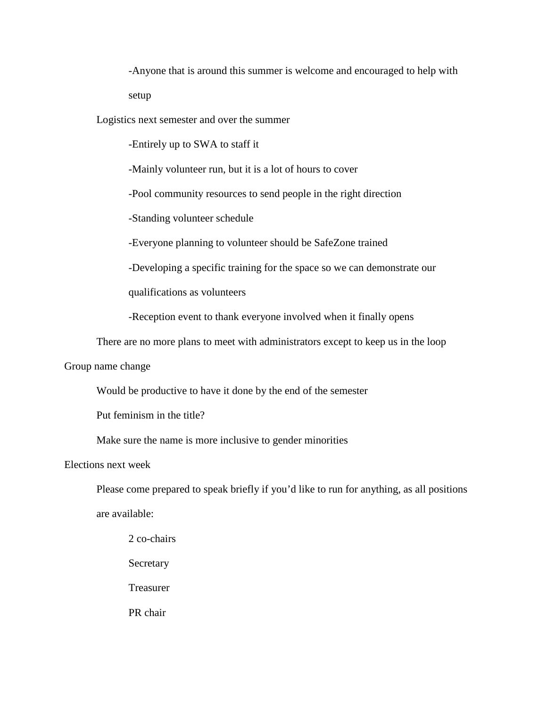-Anyone that is around this summer is welcome and encouraged to help with setup

Logistics next semester and over the summer

-Entirely up to SWA to staff it

-Mainly volunteer run, but it is a lot of hours to cover

-Pool community resources to send people in the right direction

-Standing volunteer schedule

-Everyone planning to volunteer should be SafeZone trained

-Developing a specific training for the space so we can demonstrate our

qualifications as volunteers

-Reception event to thank everyone involved when it finally opens

There are no more plans to meet with administrators except to keep us in the loop

Group name change

Would be productive to have it done by the end of the semester

Put feminism in the title?

Make sure the name is more inclusive to gender minorities

Elections next week

Please come prepared to speak briefly if you'd like to run for anything, as all positions are available:

2 co-chairs Secretary Treasurer PR chair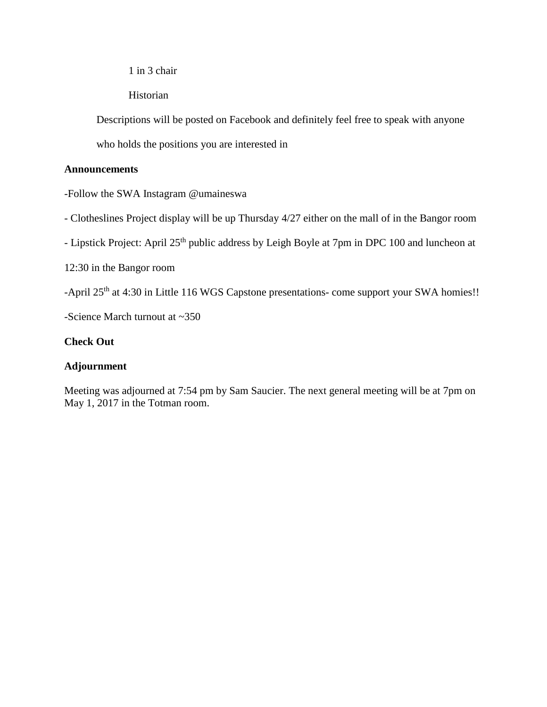1 in 3 chair

Historian

Descriptions will be posted on Facebook and definitely feel free to speak with anyone

who holds the positions you are interested in

## **Announcements**

-Follow the SWA Instagram @umaineswa

- Clotheslines Project display will be up Thursday 4/27 either on the mall of in the Bangor room

- Lipstick Project: April 25<sup>th</sup> public address by Leigh Boyle at 7pm in DPC 100 and luncheon at

12:30 in the Bangor room

-April 25<sup>th</sup> at 4:30 in Little 116 WGS Capstone presentations- come support your SWA homies!!

-Science March turnout at ~350

## **Check Out**

## **Adjournment**

Meeting was adjourned at 7:54 pm by Sam Saucier. The next general meeting will be at 7pm on May 1, 2017 in the Totman room.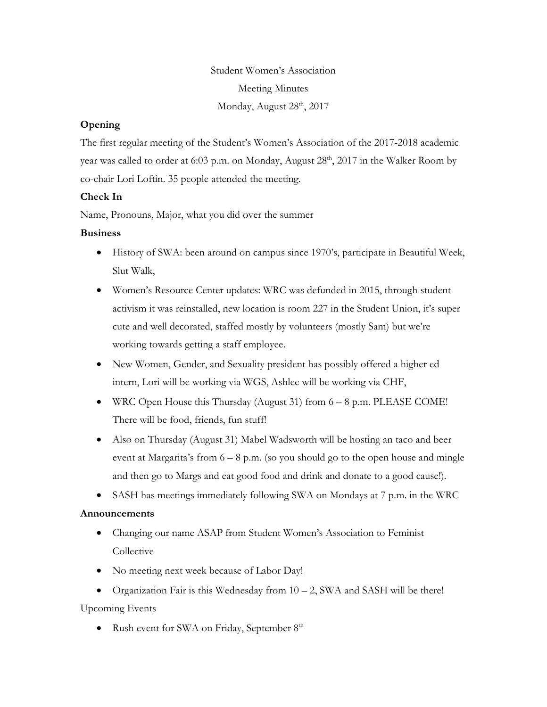Student Women's Association Meeting Minutes Monday, August 28<sup>th</sup>, 2017

## **Opening**

The first regular meeting of the Student's Women's Association of the 2017-2018 academic year was called to order at 6:03 p.m. on Monday, August  $28<sup>th</sup>$ ,  $2017$  in the Walker Room by co-chair Lori Loftin. 35 people attended the meeting.

## **Check In**

Name, Pronouns, Major, what you did over the summer

## **Business**

- History of SWA: been around on campus since 1970's, participate in Beautiful Week, Slut Walk,
- Women's Resource Center updates: WRC was defunded in 2015, through student activism it was reinstalled, new location is room 227 in the Student Union, it's super cute and well decorated, staffed mostly by volunteers (mostly Sam) but we're working towards getting a staff employee.
- New Women, Gender, and Sexuality president has possibly offered a higher ed intern, Lori will be working via WGS, Ashlee will be working via CHF,
- WRC Open House this Thursday (August 31) from 6 8 p.m. PLEASE COME! There will be food, friends, fun stuff!
- Also on Thursday (August 31) Mabel Wadsworth will be hosting an taco and beer event at Margarita's from  $6 - 8$  p.m. (so you should go to the open house and mingle and then go to Margs and eat good food and drink and donate to a good cause!).
- SASH has meetings immediately following SWA on Mondays at 7 p.m. in the WRC

## **Announcements**

- Changing our name ASAP from Student Women's Association to Feminist Collective
- No meeting next week because of Labor Day!

• Organization Fair is this Wednesday from  $10 - 2$ , SWA and SASH will be there! Upcoming Events

• Rush event for SWA on Friday, September  $8<sup>th</sup>$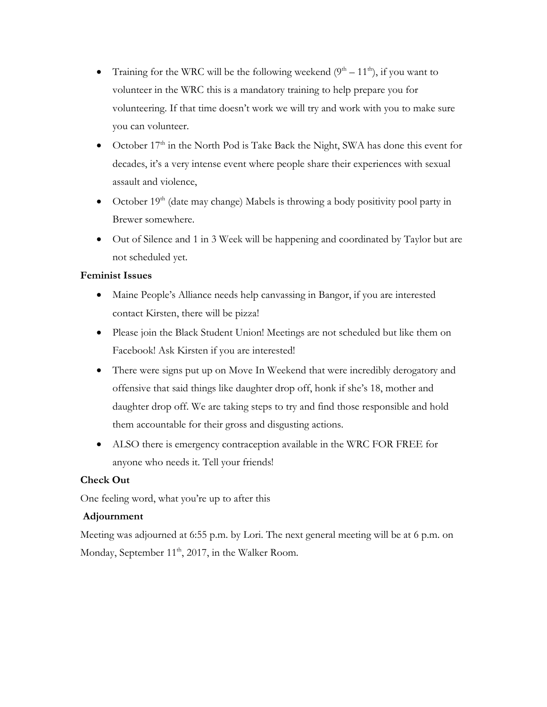- Training for the WRC will be the following weekend  $(9<sup>th</sup> 11<sup>th</sup>)$ , if you want to volunteer in the WRC this is a mandatory training to help prepare you for volunteering. If that time doesn't work we will try and work with you to make sure you can volunteer.
- October 17<sup>th</sup> in the North Pod is Take Back the Night, SWA has done this event for decades, it's a very intense event where people share their experiences with sexual assault and violence,
- October  $19<sup>th</sup>$  (date may change) Mabels is throwing a body positivity pool party in Brewer somewhere.
- Out of Silence and 1 in 3 Week will be happening and coordinated by Taylor but are not scheduled yet.

## **Feminist Issues**

- Maine People's Alliance needs help canvassing in Bangor, if you are interested contact Kirsten, there will be pizza!
- Please join the Black Student Union! Meetings are not scheduled but like them on Facebook! Ask Kirsten if you are interested!
- There were signs put up on Move In Weekend that were incredibly derogatory and offensive that said things like daughter drop off, honk if she's 18, mother and daughter drop off. We are taking steps to try and find those responsible and hold them accountable for their gross and disgusting actions.
- ALSO there is emergency contraception available in the WRC FOR FREE for anyone who needs it. Tell your friends!

## **Check Out**

One feeling word, what you're up to after this

## **Adjournment**

Meeting was adjourned at 6:55 p.m. by Lori. The next general meeting will be at 6 p.m. on Monday, September  $11<sup>th</sup>$ , 2017, in the Walker Room.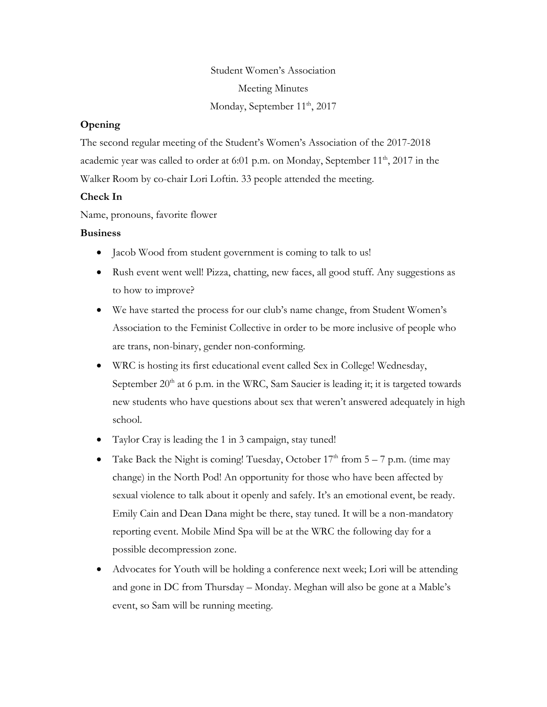Student Women's Association Meeting Minutes Monday, September 11<sup>th</sup>, 2017

#### **Opening**

The second regular meeting of the Student's Women's Association of the 2017-2018 academic year was called to order at 6:01 p.m. on Monday, September  $11<sup>th</sup>$ , 2017 in the Walker Room by co-chair Lori Loftin. 33 people attended the meeting.

#### **Check In**

Name, pronouns, favorite flower

#### **Business**

- Jacob Wood from student government is coming to talk to us!
- Rush event went well! Pizza, chatting, new faces, all good stuff. Any suggestions as to how to improve?
- We have started the process for our club's name change, from Student Women's Association to the Feminist Collective in order to be more inclusive of people who are trans, non-binary, gender non-conforming.
- WRC is hosting its first educational event called Sex in College! Wednesday, September  $20<sup>th</sup>$  at 6 p.m. in the WRC, Sam Saucier is leading it; it is targeted towards new students who have questions about sex that weren't answered adequately in high school.
- Taylor Cray is leading the 1 in 3 campaign, stay tuned!
- Take Back the Night is coming! Tuesday, October  $17<sup>th</sup>$  from  $5 7$  p.m. (time may change) in the North Pod! An opportunity for those who have been affected by sexual violence to talk about it openly and safely. It's an emotional event, be ready. Emily Cain and Dean Dana might be there, stay tuned. It will be a non-mandatory reporting event. Mobile Mind Spa will be at the WRC the following day for a possible decompression zone.
- Advocates for Youth will be holding a conference next week; Lori will be attending and gone in DC from Thursday – Monday. Meghan will also be gone at a Mable's event, so Sam will be running meeting.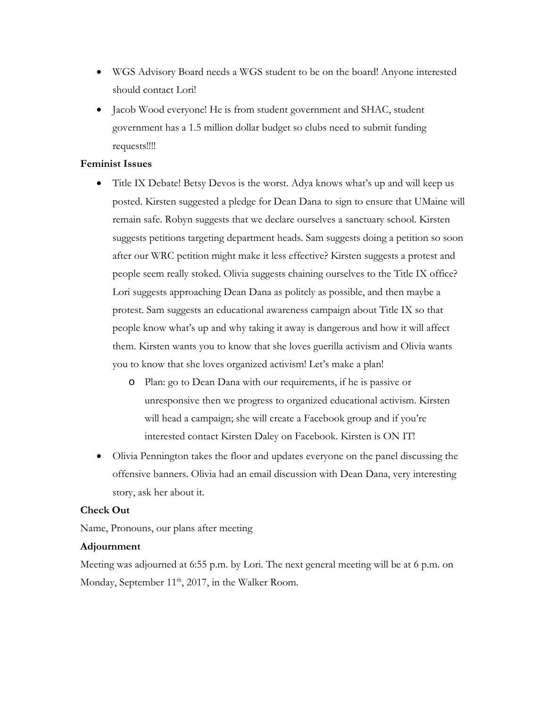- WGS Advisory Board needs a WGS student to be on the board! Anyone interested should contact Lori!
- Jacob Wood everyone! He is from student government and SHAC, student government has a 1.5 million dollar budget so clubs need to submit funding requests!!!!

#### **Feminist Issues**

- Title IX Debate! Betsy Devos is the worst. Adya knows what's up and will keep us posted. Kirsten suggested a pledge for Dean Dana to sign to ensure that UMaine will remain safe. Robyn suggests that we declare ourselves a sanctuary school. Kirsten suggests petitions targeting department heads. Sam suggests doing a petition so soon after our WRC petition might make it less effective? Kirsten suggests a protest and people seem really stoked. Olivia suggests chaining ourselves to the Title IX office? Lori suggests approaching Dean Dana as politely as possible, and then maybe a protest. Sam suggests an educational awareness campaign about Title IX so that people know what's up and why taking it away is dangerous and how it will affect them. Kirsten wants you to know that she loves guerilla activism and Olivia wants you to know that she loves organized activism! Let's make a plan!
	- o Plan: go to Dean Dana with our requirements, if he is passive or unresponsive then we progress to organized educational activism. Kirsten will head a campaign; she will create a Facebook group and if you're interested contact Kirsten Daley on Facebook. Kirsten is ON IT!
- Olivia Pennington takes the floor and updates everyone on the panel discussing the offensive banners. Olivia had an email discussion with Dean Dana, very interesting story, ask her about it.

#### **Check Out**

Name, Pronouns, our plans after meeting

#### **Adjournment**

Meeting was adjourned at 6:55 p.m. by Lori. The next general meeting will be at 6 p.m. on Monday, September  $11<sup>th</sup>$ , 2017, in the Walker Room.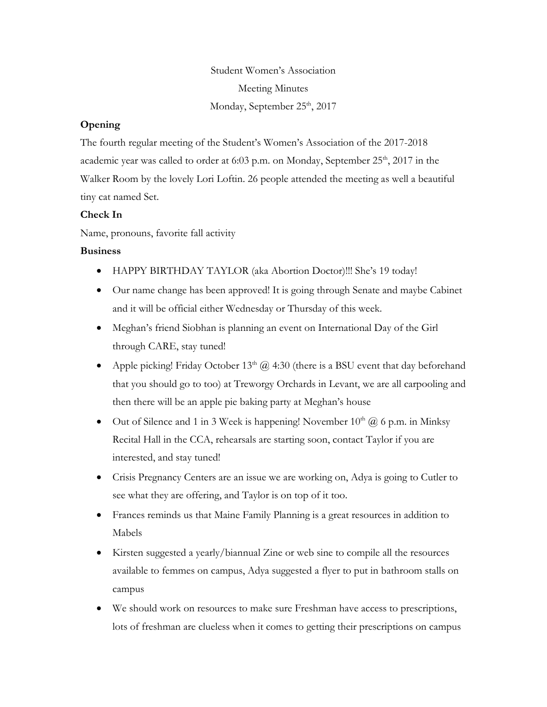Student Women's Association Meeting Minutes Monday, September 25<sup>th</sup>, 2017

#### **Opening**

The fourth regular meeting of the Student's Women's Association of the 2017-2018 academic year was called to order at 6:03 p.m. on Monday, September  $25<sup>th</sup>$ , 2017 in the Walker Room by the lovely Lori Loftin. 26 people attended the meeting as well a beautiful tiny cat named Set.

#### **Check In**

Name, pronouns, favorite fall activity

#### **Business**

- HAPPY BIRTHDAY TAYLOR (aka Abortion Doctor)!!! She's 19 today!
- Our name change has been approved! It is going through Senate and maybe Cabinet and it will be official either Wednesday or Thursday of this week.
- Meghan's friend Siobhan is planning an event on International Day of the Girl through CARE, stay tuned!
- Apple picking! Friday October  $13<sup>th</sup>$  ( $\hat{\omega}$  4:30 (there is a BSU event that day beforehand that you should go to too) at Treworgy Orchards in Levant, we are all carpooling and then there will be an apple pie baking party at Meghan's house
- Out of Silence and 1 in 3 Week is happening! November  $10<sup>th</sup>$  ( $\hat{a}$ ) 6 p.m. in Minksy Recital Hall in the CCA, rehearsals are starting soon, contact Taylor if you are interested, and stay tuned!
- Crisis Pregnancy Centers are an issue we are working on, Adya is going to Cutler to see what they are offering, and Taylor is on top of it too.
- Frances reminds us that Maine Family Planning is a great resources in addition to Mabels
- Kirsten suggested a yearly/biannual Zine or web sine to compile all the resources available to femmes on campus, Adya suggested a flyer to put in bathroom stalls on campus
- We should work on resources to make sure Freshman have access to prescriptions, lots of freshman are clueless when it comes to getting their prescriptions on campus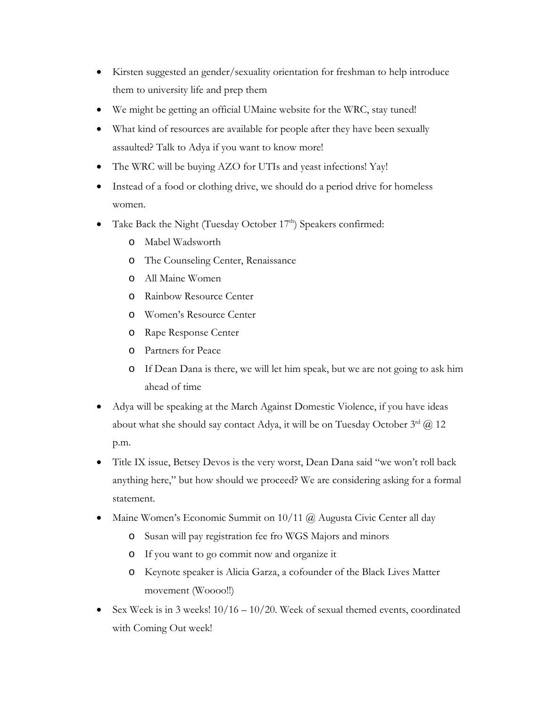- Kirsten suggested an gender/sexuality orientation for freshman to help introduce them to university life and prep them
- We might be getting an official UMaine website for the WRC, stay tuned!
- What kind of resources are available for people after they have been sexually assaulted? Talk to Adya if you want to know more!
- The WRC will be buying AZO for UTIs and yeast infections! Yay!
- Instead of a food or clothing drive, we should do a period drive for homeless women.
- Take Back the Night (Tuesday October 17<sup>th</sup>) Speakers confirmed:
	- o Mabel Wadsworth
	- o The Counseling Center, Renaissance
	- o All Maine Women
	- o Rainbow Resource Center
	- o Women's Resource Center
	- o Rape Response Center
	- o Partners for Peace
	- o If Dean Dana is there, we will let him speak, but we are not going to ask him ahead of time
- Adya will be speaking at the March Against Domestic Violence, if you have ideas about what she should say contact Adya, it will be on Tuesday October  $3^{rd}$  ( $\ddot{\theta}$ ) 12 p.m.
- Title IX issue, Betsey Devos is the very worst, Dean Dana said "we won't roll back anything here," but how should we proceed? We are considering asking for a formal statement.
- Maine Women's Economic Summit on  $10/11$  @ Augusta Civic Center all day
	- o Susan will pay registration fee fro WGS Majors and minors
	- o If you want to go commit now and organize it
	- o Keynote speaker is Alicia Garza, a cofounder of the Black Lives Matter movement (Woooo!!)
- Sex Week is in 3 weeks! 10/16 10/20. Week of sexual themed events, coordinated with Coming Out week!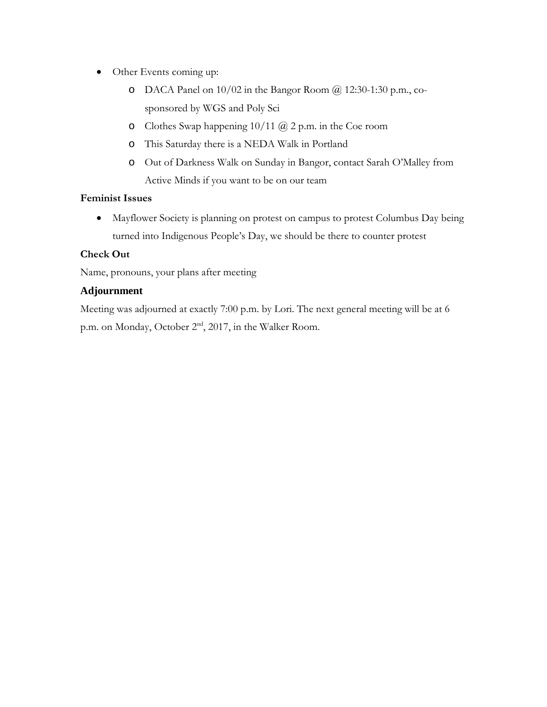- Other Events coming up:
	- $O$  DACA Panel on  $10/02$  in the Bangor Room  $\omega$  12:30-1:30 p.m., cosponsored by WGS and Poly Sci
	- o Clothes Swap happening 10/11 @ 2 p.m. in the Coe room
	- o This Saturday there is a NEDA Walk in Portland
	- o Out of Darkness Walk on Sunday in Bangor, contact Sarah O'Malley from Active Minds if you want to be on our team

## **Feminist Issues**

• Mayflower Society is planning on protest on campus to protest Columbus Day being turned into Indigenous People's Day, we should be there to counter protest

## **Check Out**

Name, pronouns, your plans after meeting

## **Adjournment**

Meeting was adjourned at exactly 7:00 p.m. by Lori. The next general meeting will be at 6 p.m. on Monday, October 2<sup>nd</sup>, 2017, in the Walker Room.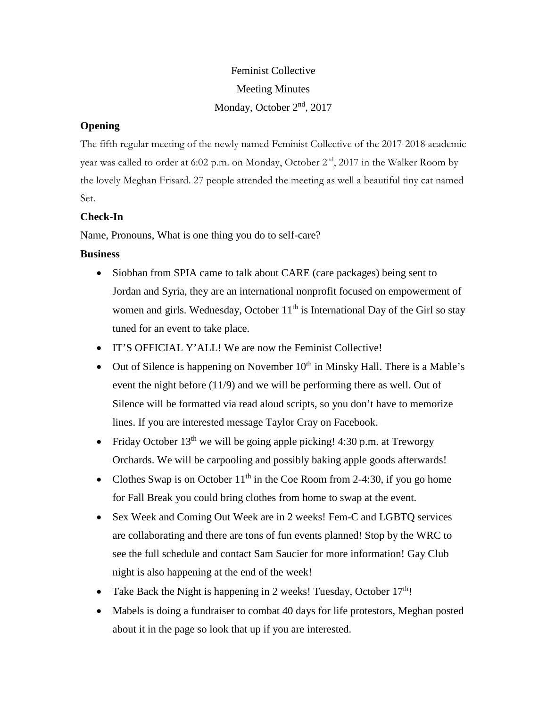# Feminist Collective Meeting Minutes Monday, October 2<sup>nd</sup>, 2017

## **Opening**

The fifth regular meeting of the newly named Feminist Collective of the 2017-2018 academic year was called to order at 6:02 p.m. on Monday, October 2<sup>nd</sup>, 2017 in the Walker Room by the lovely Meghan Frisard. 27 people attended the meeting as well a beautiful tiny cat named Set.

## **Check-In**

Name, Pronouns, What is one thing you do to self-care?

## **Business**

- Siobhan from SPIA came to talk about CARE (care packages) being sent to Jordan and Syria, they are an international nonprofit focused on empowerment of women and girls. Wednesday, October  $11<sup>th</sup>$  is International Day of the Girl so stay tuned for an event to take place.
- IT'S OFFICIAL Y'ALL! We are now the Feminist Collective!
- Out of Silence is happening on November  $10^{th}$  in Minsky Hall. There is a Mable's event the night before (11/9) and we will be performing there as well. Out of Silence will be formatted via read aloud scripts, so you don't have to memorize lines. If you are interested message Taylor Cray on Facebook.
- Friday October  $13<sup>th</sup>$  we will be going apple picking! 4:30 p.m. at Treworgy Orchards. We will be carpooling and possibly baking apple goods afterwards!
- Clothes Swap is on October  $11<sup>th</sup>$  in the Coe Room from 2-4:30, if you go home for Fall Break you could bring clothes from home to swap at the event.
- Sex Week and Coming Out Week are in 2 weeks! Fem-C and LGBTQ services are collaborating and there are tons of fun events planned! Stop by the WRC to see the full schedule and contact Sam Saucier for more information! Gay Club night is also happening at the end of the week!
- Take Back the Night is happening in 2 weeks! Tuesday, October  $17<sup>th</sup>$ !
- Mabels is doing a fundraiser to combat 40 days for life protestors, Meghan posted about it in the page so look that up if you are interested.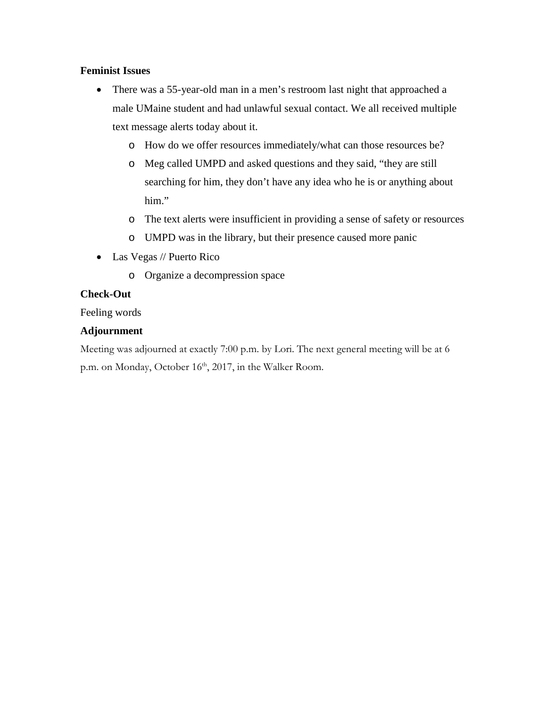## **Feminist Issues**

- There was a 55-year-old man in a men's restroom last night that approached a male UMaine student and had unlawful sexual contact. We all received multiple text message alerts today about it.
	- o How do we offer resources immediately/what can those resources be?
	- o Meg called UMPD and asked questions and they said, "they are still searching for him, they don't have any idea who he is or anything about him."
	- o The text alerts were insufficient in providing a sense of safety or resources
	- o UMPD was in the library, but their presence caused more panic
- Las Vegas // Puerto Rico
	- o Organize a decompression space

## **Check-Out**

Feeling words

## **Adjournment**

Meeting was adjourned at exactly 7:00 p.m. by Lori. The next general meeting will be at 6 p.m. on Monday, October 16<sup>th</sup>, 2017, in the Walker Room.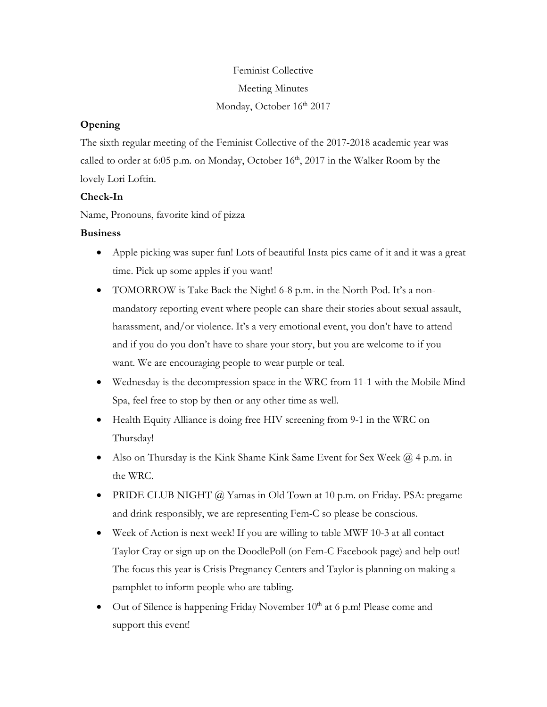# Feminist Collective Meeting Minutes Monday, October 16<sup>th</sup> 2017

## **Opening**

The sixth regular meeting of the Feminist Collective of the 2017-2018 academic year was called to order at 6:05 p.m. on Monday, October  $16<sup>th</sup>$ , 2017 in the Walker Room by the lovely Lori Loftin.

## **Check-In**

Name, Pronouns, favorite kind of pizza

## **Business**

- Apple picking was super fun! Lots of beautiful Insta pics came of it and it was a great time. Pick up some apples if you want!
- TOMORROW is Take Back the Night! 6-8 p.m. in the North Pod. It's a nonmandatory reporting event where people can share their stories about sexual assault, harassment, and/or violence. It's a very emotional event, you don't have to attend and if you do you don't have to share your story, but you are welcome to if you want. We are encouraging people to wear purple or teal.
- Wednesday is the decompression space in the WRC from 11-1 with the Mobile Mind Spa, feel free to stop by then or any other time as well.
- Health Equity Alliance is doing free HIV screening from 9-1 in the WRC on Thursday!
- Also on Thursday is the Kink Shame Kink Same Event for Sex Week  $\omega$  4 p.m. in the WRC.
- PRIDE CLUB NIGHT @ Yamas in Old Town at 10 p.m. on Friday. PSA: pregame and drink responsibly, we are representing Fem-C so please be conscious.
- Week of Action is next week! If you are willing to table MWF 10-3 at all contact Taylor Cray or sign up on the DoodlePoll (on Fem-C Facebook page) and help out! The focus this year is Crisis Pregnancy Centers and Taylor is planning on making a pamphlet to inform people who are tabling.
- Out of Silence is happening Friday November  $10<sup>th</sup>$  at 6 p.m! Please come and support this event!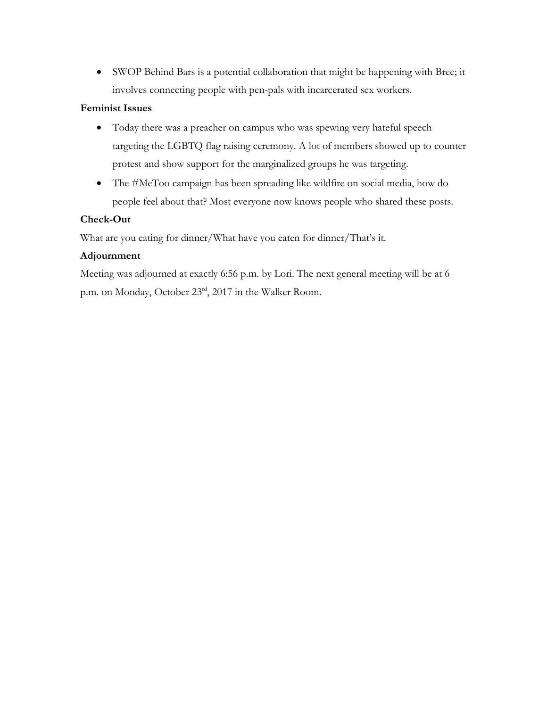• SWOP Behind Bars is a potential collaboration that might be happening with Bree; it involves connecting people with pen-pals with incarcerated sex workers.

## **Feminist Issues**

- Today there was a preacher on campus who was spewing very hateful speech targeting the LGBTQ flag raising ceremony. A lot of members showed up to counter protest and show support for the marginalized groups he was targeting.
- The #MeToo campaign has been spreading like wildfire on social media, how do people feel about that? Most everyone now knows people who shared these posts.

## **Check-Out**

What are you eating for dinner/What have you eaten for dinner/That's it.

## **Adjournment**

Meeting was adjourned at exactly 6:56 p.m. by Lori. The next general meeting will be at 6 p.m. on Monday, October 23rd, 2017 in the Walker Room.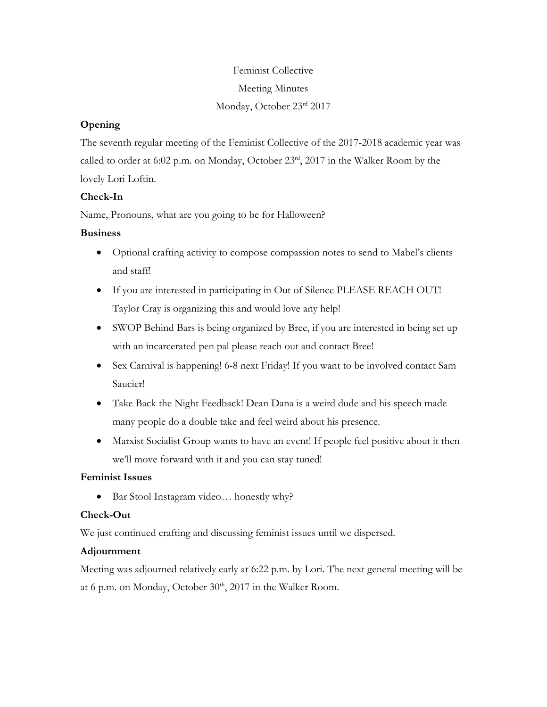# Feminist Collective Meeting Minutes Monday, October 23rd 2017

## **Opening**

The seventh regular meeting of the Feminist Collective of the 2017-2018 academic year was called to order at 6:02 p.m. on Monday, October 23rd, 2017 in the Walker Room by the lovely Lori Loftin.

## **Check-In**

Name, Pronouns, what are you going to be for Halloween?

## **Business**

- Optional crafting activity to compose compassion notes to send to Mabel's clients and staff!
- If you are interested in participating in Out of Silence PLEASE REACH OUT! Taylor Cray is organizing this and would love any help!
- SWOP Behind Bars is being organized by Bree, if you are interested in being set up with an incarcerated pen pal please reach out and contact Bree!
- Sex Carnival is happening! 6-8 next Friday! If you want to be involved contact Sam Saucier!
- Take Back the Night Feedback! Dean Dana is a weird dude and his speech made many people do a double take and feel weird about his presence.
- Marxist Socialist Group wants to have an event! If people feel positive about it then we'll move forward with it and you can stay tuned!

## **Feminist Issues**

• Bar Stool Instagram video... honestly why?

## **Check-Out**

We just continued crafting and discussing feminist issues until we dispersed.

## **Adjournment**

Meeting was adjourned relatively early at 6:22 p.m. by Lori. The next general meeting will be at 6 p.m. on Monday, October  $30<sup>th</sup>$ ,  $2017$  in the Walker Room.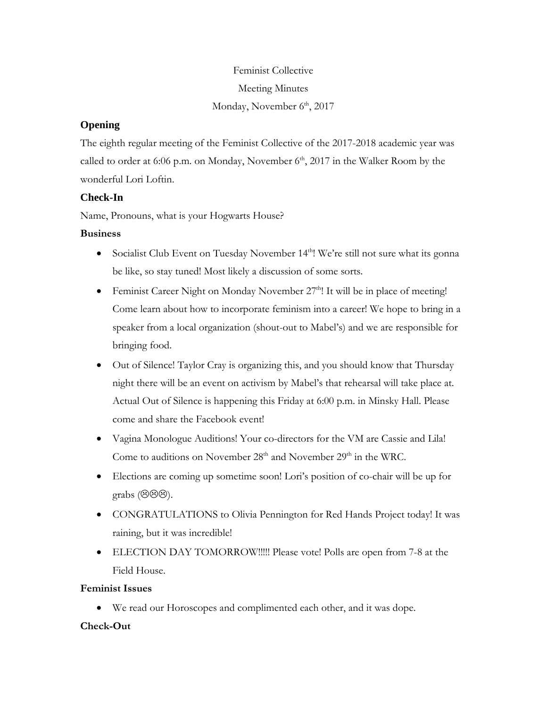# Feminist Collective Meeting Minutes Monday, November 6<sup>th</sup>, 2017

# **Opening**

The eighth regular meeting of the Feminist Collective of the 2017-2018 academic year was called to order at 6:06 p.m. on Monday, November  $6<sup>th</sup>$ , 2017 in the Walker Room by the wonderful Lori Loftin.

## **Check-In**

Name, Pronouns, what is your Hogwarts House?

## **Business**

- Socialist Club Event on Tuesday November  $14<sup>th</sup>$ ! We're still not sure what its gonna be like, so stay tuned! Most likely a discussion of some sorts.
- Feminist Career Night on Monday November  $27<sup>th</sup>$ ! It will be in place of meeting! Come learn about how to incorporate feminism into a career! We hope to bring in a speaker from a local organization (shout-out to Mabel's) and we are responsible for bringing food.
- Out of Silence! Taylor Cray is organizing this, and you should know that Thursday night there will be an event on activism by Mabel's that rehearsal will take place at. Actual Out of Silence is happening this Friday at 6:00 p.m. in Minsky Hall. Please come and share the Facebook event!
- Vagina Monologue Auditions! Your co-directors for the VM are Cassie and Lila! Come to auditions on November 28<sup>th</sup> and November 29<sup>th</sup> in the WRC.
- Elections are coming up sometime soon! Lori's position of co-chair will be up for grabs  $(\Theta \Theta \Theta)$ .
- CONGRATULATIONS to Olivia Pennington for Red Hands Project today! It was raining, but it was incredible!
- ELECTION DAY TOMORROW!!!!! Please vote! Polls are open from 7-8 at the Field House.

## **Feminist Issues**

• We read our Horoscopes and complimented each other, and it was dope.

## **Check-Out**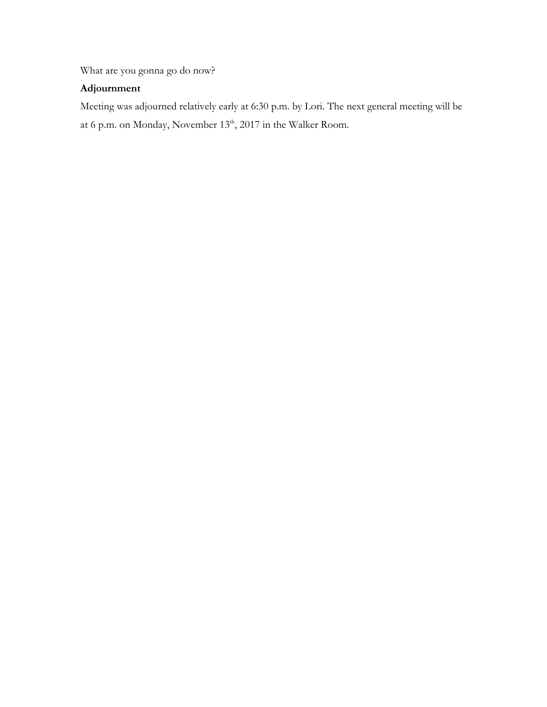What are you gonna go do now?

# **Adjournment**

Meeting was adjourned relatively early at 6:30 p.m. by Lori. The next general meeting will be at 6 p.m. on Monday, November 13<sup>th</sup>, 2017 in the Walker Room.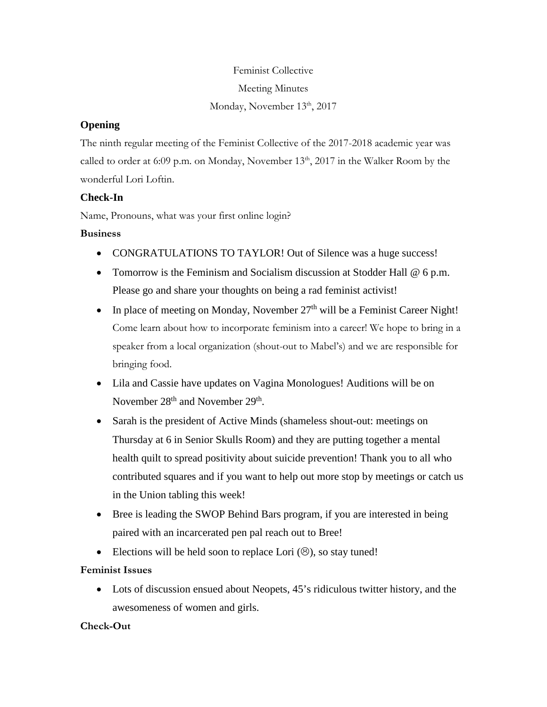# Feminist Collective Meeting Minutes Monday, November 13<sup>th</sup>, 2017

# **Opening**

The ninth regular meeting of the Feminist Collective of the 2017-2018 academic year was called to order at 6:09 p.m. on Monday, November  $13<sup>th</sup>$ , 2017 in the Walker Room by the wonderful Lori Loftin.

## **Check-In**

Name, Pronouns, what was your first online login?

## **Business**

- CONGRATULATIONS TO TAYLOR! Out of Silence was a huge success!
- Tomorrow is the Feminism and Socialism discussion at Stodder Hall @ 6 p.m. Please go and share your thoughts on being a rad feminist activist!
- In place of meeting on Monday, November  $27<sup>th</sup>$  will be a Feminist Career Night! Come learn about how to incorporate feminism into a career! We hope to bring in a speaker from a local organization (shout-out to Mabel's) and we are responsible for bringing food.
- Lila and Cassie have updates on Vagina Monologues! Auditions will be on November 28<sup>th</sup> and November 29<sup>th</sup>.
- Sarah is the president of Active Minds (shameless shout-out: meetings on Thursday at 6 in Senior Skulls Room) and they are putting together a mental health quilt to spread positivity about suicide prevention! Thank you to all who contributed squares and if you want to help out more stop by meetings or catch us in the Union tabling this week!
- Bree is leading the SWOP Behind Bars program, if you are interested in being paired with an incarcerated pen pal reach out to Bree!
- Elections will be held soon to replace Lori  $(\odot)$ , so stay tuned!

## **Feminist Issues**

• Lots of discussion ensued about Neopets, 45's ridiculous twitter history, and the awesomeness of women and girls.

## **Check-Out**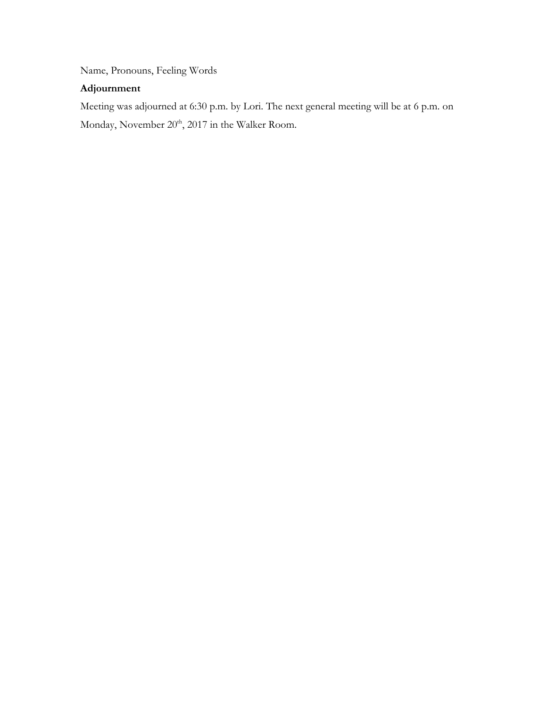Name, Pronouns, Feeling Words

## **Adjournment**

Meeting was adjourned at 6:30 p.m. by Lori. The next general meeting will be at 6 p.m. on Monday, November 20<sup>th</sup>, 2017 in the Walker Room.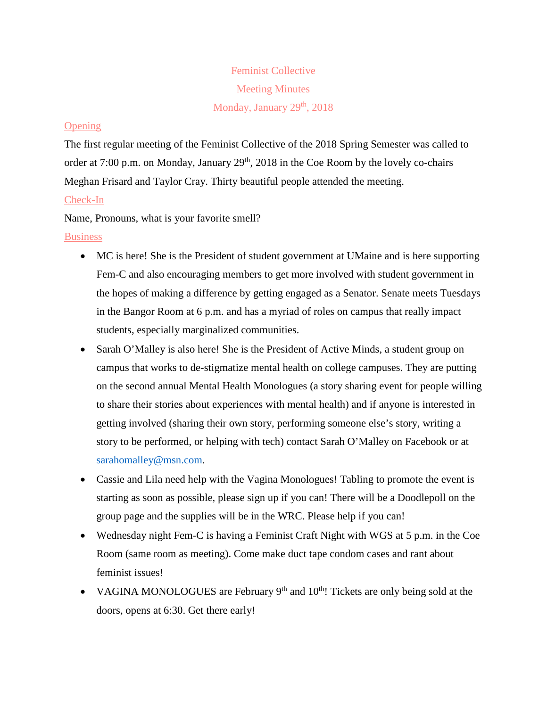# Feminist Collective Meeting Minutes Monday, January  $29<sup>th</sup>$ ,  $2018$

## **Opening**

The first regular meeting of the Feminist Collective of the 2018 Spring Semester was called to order at 7:00 p.m. on Monday, January  $29<sup>th</sup>$ ,  $2018$  in the Coe Room by the lovely co-chairs Meghan Frisard and Taylor Cray. Thirty beautiful people attended the meeting.

## Check-In

Name, Pronouns, what is your favorite smell?

**Business** 

- MC is here! She is the President of student government at UMaine and is here supporting Fem-C and also encouraging members to get more involved with student government in the hopes of making a difference by getting engaged as a Senator. Senate meets Tuesdays in the Bangor Room at 6 p.m. and has a myriad of roles on campus that really impact students, especially marginalized communities.
- Sarah O'Malley is also here! She is the President of Active Minds, a student group on campus that works to de-stigmatize mental health on college campuses. They are putting on the second annual Mental Health Monologues (a story sharing event for people willing to share their stories about experiences with mental health) and if anyone is interested in getting involved (sharing their own story, performing someone else's story, writing a story to be performed, or helping with tech) contact Sarah O'Malley on Facebook or at [sarahomalley@msn.com.](mailto:sarahomalley@msn.com)
- Cassie and Lila need help with the Vagina Monologues! Tabling to promote the event is starting as soon as possible, please sign up if you can! There will be a Doodlepoll on the group page and the supplies will be in the WRC. Please help if you can!
- Wednesday night Fem-C is having a Feminist Craft Night with WGS at 5 p.m. in the Coe Room (same room as meeting). Come make duct tape condom cases and rant about feminist issues!
- VAGINA MONOLOGUES are February  $9<sup>th</sup>$  and  $10<sup>th</sup>$ ! Tickets are only being sold at the doors, opens at 6:30. Get there early!